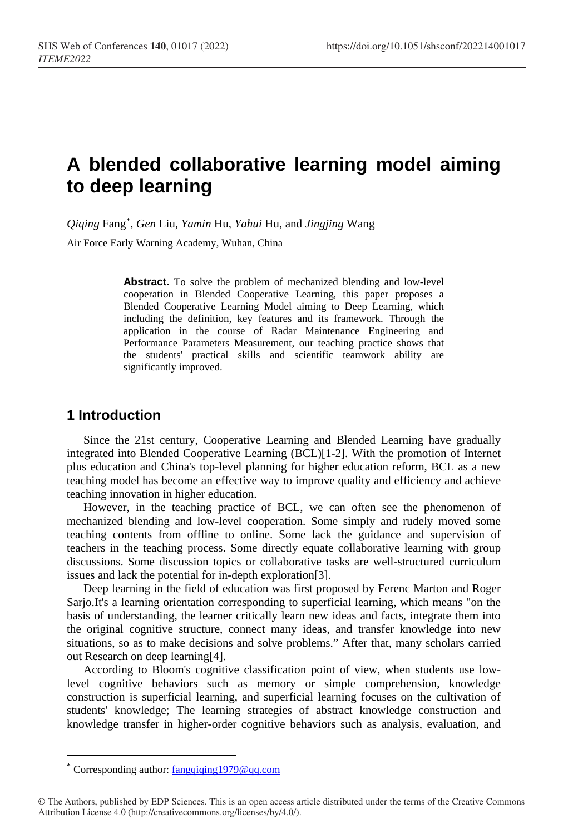# **A blended collaborative learning model aiming to deep learning**

*Qiqing* Fan[g\\*](#page-0-0) , *Gen* Liu, *Yamin* Hu, *Yahui* Hu, and *Jingjing* Wang

Air Force Early Warning Academy, Wuhan, China

**Abstract.** To solve the problem of mechanized blending and low-level cooperation in Blended Cooperative Learning, this paper proposes a Blended Cooperative Learning Model aiming to Deep Learning, which including the definition, key features and its framework. Through the application in the course of Radar Maintenance Engineering and Performance Parameters Measurement, our teaching practice shows that the students' practical skills and scientific teamwork ability are significantly improved.

## **1 Introduction**

Since the 21st century, Cooperative Learning and Blended Learning have gradually integrated into Blended Cooperative Learning (BCL)[1-2]. With the promotion of Internet plus education and China's top-level planning for higher education reform, BCL as a new teaching model has become an effective way to improve quality and efficiency and achieve teaching innovation in higher education.

However, in the teaching practice of BCL, we can often see the phenomenon of mechanized blending and low-level cooperation. Some simply and rudely moved some teaching contents from offline to online. Some lack the guidance and supervision of teachers in the teaching process. Some directly equate collaborative learning with group discussions. Some discussion topics or collaborative tasks are well-structured curriculum issues and lack the potential for in-depth exploration[3].

Deep learning in the field of education was first proposed by Ferenc Marton and Roger Sarjo.It's a learning orientation corresponding to superficial learning, which means "on the basis of understanding, the learner critically learn new ideas and facts, integrate them into the original cognitive structure, connect many ideas, and transfer knowledge into new situations, so as to make decisions and solve problems." After that, many scholars carried out Research on deep learning[4].

According to Bloom's cognitive classification point of view, when students use lowlevel cognitive behaviors such as memory or simple comprehension, knowledge construction is superficial learning, and superficial learning focuses on the cultivation of students' knowledge; The learning strategies of abstract knowledge construction and knowledge transfer in higher-order cognitive behaviors such as analysis, evaluation, and

 $\overline{a}$ 

Corresponding author: [fangqiqing1979@qq.com](mailto:16046965@qq.com)

<span id="page-0-0"></span><sup>©</sup> The Authors, published by EDP Sciences. This is an open access article distributed under the terms of the Creative Commons Attribution License 4.0 (http://creativecommons.org/licenses/by/4.0/).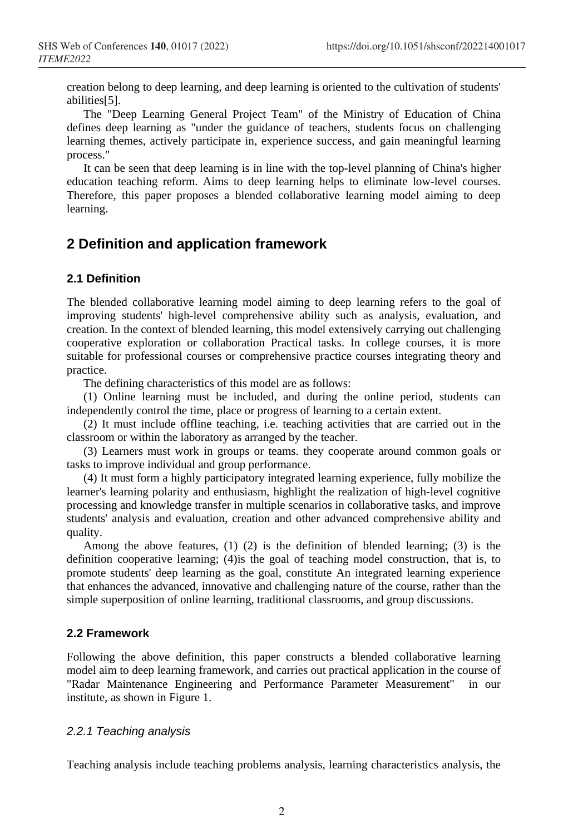creation belong to deep learning, and deep learning is oriented to the cultivation of students' abilities[5].

The "Deep Learning General Project Team" of the Ministry of Education of China defines deep learning as "under the guidance of teachers, students focus on challenging learning themes, actively participate in, experience success, and gain meaningful learning process."

It can be seen that deep learning is in line with the top-level planning of China's higher education teaching reform. Aims to deep learning helps to eliminate low-level courses. Therefore, this paper proposes a blended collaborative learning model aiming to deep learning.

# **2 Definition and application framework**

## **2.1 Definition**

The blended collaborative learning model aiming to deep learning refers to the goal of improving students' high-level comprehensive ability such as analysis, evaluation, and creation. In the context of blended learning, this model extensively carrying out challenging cooperative exploration or collaboration Practical tasks. In college courses, it is more suitable for professional courses or comprehensive practice courses integrating theory and practice.

The defining characteristics of this model are as follows:

(1) Online learning must be included, and during the online period, students can independently control the time, place or progress of learning to a certain extent.

(2) It must include offline teaching, i.e. teaching activities that are carried out in the classroom or within the laboratory as arranged by the teacher.

(3) Learners must work in groups or teams. they cooperate around common goals or tasks to improve individual and group performance.

(4) It must form a highly participatory integrated learning experience, fully mobilize the learner's learning polarity and enthusiasm, highlight the realization of high-level cognitive processing and knowledge transfer in multiple scenarios in collaborative tasks, and improve students' analysis and evaluation, creation and other advanced comprehensive ability and quality.

Among the above features, (1) (2) is the definition of blended learning; (3) is the definition cooperative learning; (4)is the goal of teaching model construction, that is, to promote students' deep learning as the goal, constitute An integrated learning experience that enhances the advanced, innovative and challenging nature of the course, rather than the simple superposition of online learning, traditional classrooms, and group discussions.

#### **2.2 Framework**

Following the above definition, this paper constructs a blended collaborative learning model aim to deep learning framework, and carries out practical application in the course of "Radar Maintenance Engineering and Performance Parameter Measurement" in our institute, as shown in Figure 1.

## *2.2.1 Teaching analysis*

Teaching analysis include teaching problems analysis, learning characteristics analysis, the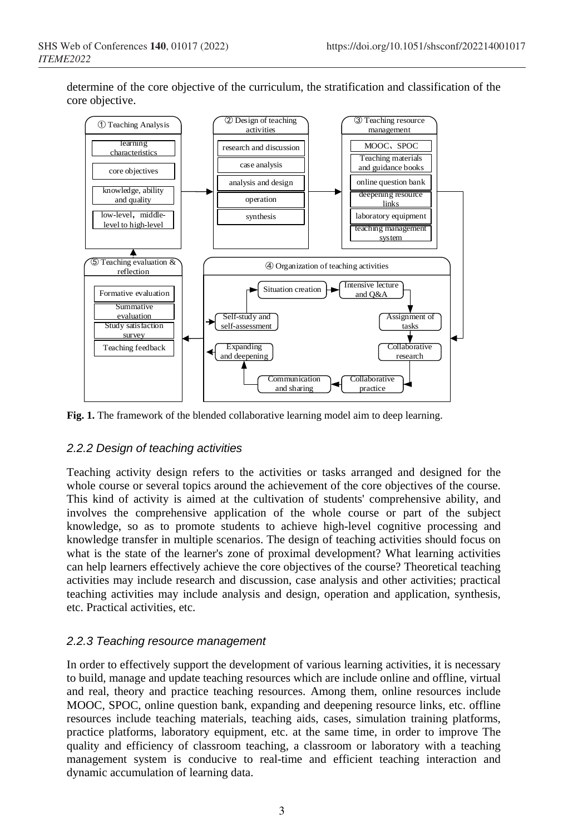determine of the core objective of the curriculum, the stratification and classification of the core objective.



**Fig. 1.** The framework of the blended collaborative learning model aim to deep learning.

## *2.2.2 Design of teaching activities*

Teaching activity design refers to the activities or tasks arranged and designed for the whole course or several topics around the achievement of the core objectives of the course. This kind of activity is aimed at the cultivation of students' comprehensive ability, and involves the comprehensive application of the whole course or part of the subject knowledge, so as to promote students to achieve high-level cognitive processing and knowledge transfer in multiple scenarios. The design of teaching activities should focus on what is the state of the learner's zone of proximal development? What learning activities can help learners effectively achieve the core objectives of the course? Theoretical teaching activities may include research and discussion, case analysis and other activities; practical teaching activities may include analysis and design, operation and application, synthesis, etc. Practical activities, etc.

## *2.2.3 Teaching resource management*

In order to effectively support the development of various learning activities, it is necessary to build, manage and update teaching resources which are include online and offline, virtual and real, theory and practice teaching resources. Among them, online resources include MOOC, SPOC, online question bank, expanding and deepening resource links, etc. offline resources include teaching materials, teaching aids, cases, simulation training platforms, practice platforms, laboratory equipment, etc. at the same time, in order to improve The quality and efficiency of classroom teaching, a classroom or laboratory with a teaching management system is conducive to real-time and efficient teaching interaction and dynamic accumulation of learning data.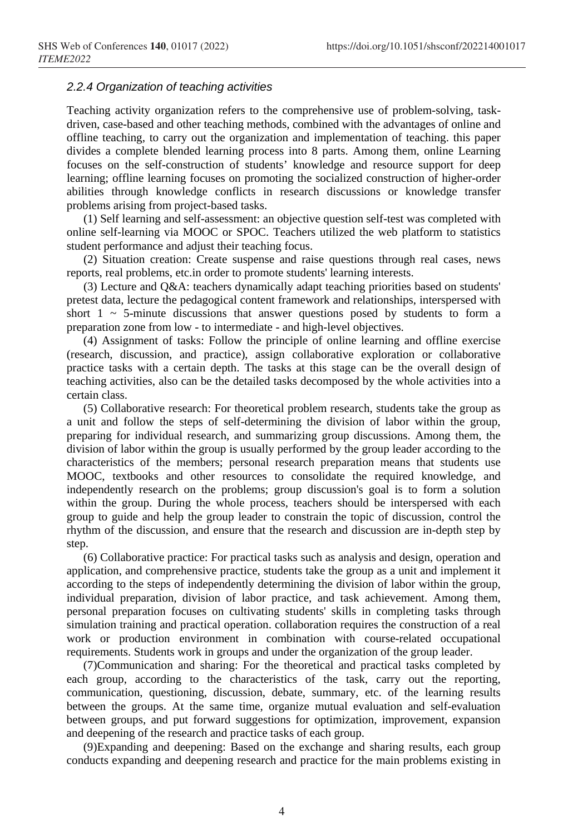#### *2.2.4 Organization of teaching activities*

Teaching activity organization refers to the comprehensive use of problem-solving, taskdriven, case-based and other teaching methods, combined with the advantages of online and offline teaching, to carry out the organization and implementation of teaching. this paper divides a complete blended learning process into 8 parts. Among them, online Learning focuses on the self-construction of students' knowledge and resource support for deep learning; offline learning focuses on promoting the socialized construction of higher-order abilities through knowledge conflicts in research discussions or knowledge transfer problems arising from project-based tasks.

(1) Self learning and self-assessment: an objective question self-test was completed with online self-learning via MOOC or SPOC. Teachers utilized the web platform to statistics student performance and adjust their teaching focus.

(2) Situation creation: Create suspense and raise questions through real cases, news reports, real problems, etc.in order to promote students' learning interests.

(3) Lecture and Q&A: teachers dynamically adapt teaching priorities based on students' pretest data, lecture the pedagogical content framework and relationships, interspersed with short  $1 \sim 5$ -minute discussions that answer questions posed by students to form a preparation zone from low - to intermediate - and high-level objectives.

(4) Assignment of tasks: Follow the principle of online learning and offline exercise (research, discussion, and practice), assign collaborative exploration or collaborative practice tasks with a certain depth. The tasks at this stage can be the overall design of teaching activities, also can be the detailed tasks decomposed by the whole activities into a certain class.

(5) Collaborative research: For theoretical problem research, students take the group as a unit and follow the steps of self-determining the division of labor within the group, preparing for individual research, and summarizing group discussions. Among them, the division of labor within the group is usually performed by the group leader according to the characteristics of the members; personal research preparation means that students use MOOC, textbooks and other resources to consolidate the required knowledge, and independently research on the problems; group discussion's goal is to form a solution within the group. During the whole process, teachers should be interspersed with each group to guide and help the group leader to constrain the topic of discussion, control the rhythm of the discussion, and ensure that the research and discussion are in-depth step by step.

(6) Collaborative practice: For practical tasks such as analysis and design, operation and application, and comprehensive practice, students take the group as a unit and implement it according to the steps of independently determining the division of labor within the group, individual preparation, division of labor practice, and task achievement. Among them, personal preparation focuses on cultivating students' skills in completing tasks through simulation training and practical operation. collaboration requires the construction of a real work or production environment in combination with course-related occupational requirements. Students work in groups and under the organization of the group leader.

(7)Communication and sharing: For the theoretical and practical tasks completed by each group, according to the characteristics of the task, carry out the reporting, communication, questioning, discussion, debate, summary, etc. of the learning results between the groups. At the same time, organize mutual evaluation and self-evaluation between groups, and put forward suggestions for optimization, improvement, expansion and deepening of the research and practice tasks of each group.

(9)Expanding and deepening: Based on the exchange and sharing results, each group conducts expanding and deepening research and practice for the main problems existing in